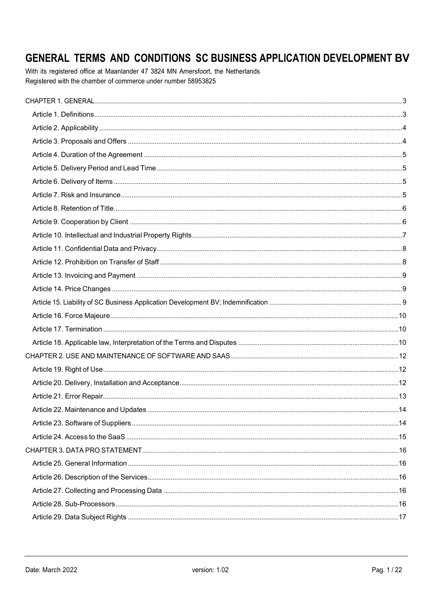# GENERAL TERMS AND CONDITIONS SC BUSINESS APPLICATION DEVELOPMENT BV

With its registered office at Maanlander 47 3824 MN Amersfoort, the Netherlands Registered with the chamber of commerce under number 58953825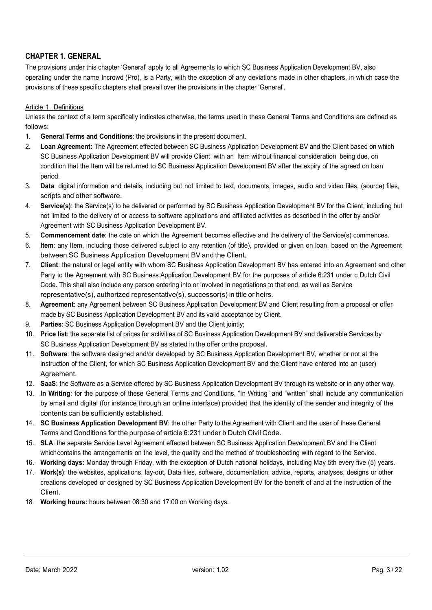# CHAPTER 1. GENERAL

The provisions under this chapter 'General' apply to all Agreements to which SC Business Application Development BV, also operating under the name Incrowd (Pro), is a Party, with the exception of any deviations made in other chapters, in which case the provisions of these specific chapters shall prevail over the provisions in the chapter 'General'.

#### Article 1. Definitions

Unless the context of a term specifically indicates otherwise, the terms used in these General Terms and Conditions are defined as follows:

- 1. General Terms and Conditions: the provisions in the present document.
- 2. Loan Agreement: The Agreement effected between SC Business Application Development BV and the Client based on which SC Business Application Development BV will provide Client with an Item without financial consideration being due, on condition that the Item will be returned to SC Business Application Development BV after the expiry of the agreed on loan period.
- 3. Data: digital information and details, including but not limited to text, documents, images, audio and video files, (source) files, scripts and other software.
- 4. Service(s): the Service(s) to be delivered or performed by SC Business Application Development BV for the Client, including but not limited to the delivery of or access to software applications and affiliated activities as described in the offer by and/or Agreement with SC Business Application Development BV.
- 5. Commencement date: the date on which the Agreement becomes effective and the delivery of the Service(s) commences.
- 6. Item: any Item, including those delivered subject to any retention (of title), provided or given on loan, based on the Agreement between SC Business Application Development BV and the Client.
- 7. Client: the natural or legal entity with whom SC Business Application Development BV has entered into an Agreement and other Party to the Agreement with SC Business Application Development BV for the purposes of article 6:231 under c Dutch Civil Code. This shall also include any person entering into or involved in negotiations to that end, as well as Service representative(s), authorized representative(s), successor(s) in title or heirs.
- 8. Agreement: any Agreement between SC Business Application Development BV and Client resulting from a proposal or offer made by SC Business Application Development BV and its valid acceptance by Client.
- 9. Parties: SC Business Application Development BV and the Client jointly;
- 10. Price list: the separate list of prices for activities of SC Business Application Development BV and deliverable Services by SC Business Application Development BV as stated in the offer or the proposal.
- 11. Software: the software designed and/or developed by SC Business Application Development BV, whether or not at the instruction of the Client, for which SC Business Application Development BV and the Client have entered into an (user) Agreement.
- 12. SaaS: the Software as a Service offered by SC Business Application Development BV through its website or in any other way.
- 13. In Writing: for the purpose of these General Terms and Conditions, "In Writing" and "written" shall include any communication by email and digital (for instance through an online interface) provided that the identity of the sender and integrity of the contents can be sufficiently established.
- 14. SC Business Application Development BV: the other Party to the Agreement with Client and the user of these General Terms and Conditions for the purpose of article 6:231 under b Dutch Civil Code.
- 15. SLA: the separate Service Level Agreement effected between SC Business Application Development BV and the Client which contains the arrangements on the level, the quality and the method of troubleshooting with regard to the Service.
- 16. Working days: Monday through Friday, with the exception of Dutch national holidays, including May 5th every five (5) years.
- 17. Work(s): the websites, applications, lay-out, Data files, software, documentation, advice, reports, analyses, designs or other creations developed or designed by SC Business Application Development BV for the benefit of and at the instruction of the Client.
- 18. Working hours: hours between 08:30 and 17:00 on Working days.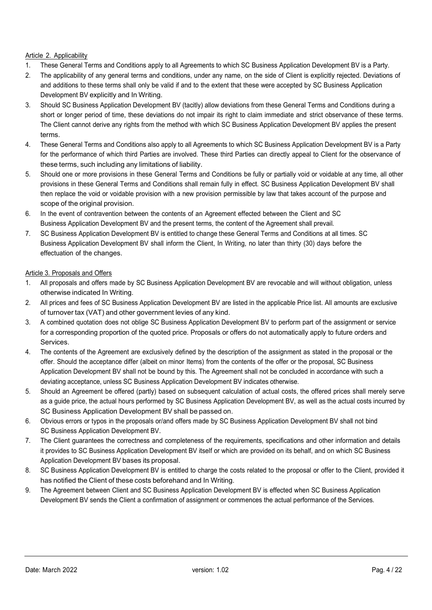# Article 2. Applicability

- 1. These General Terms and Conditions apply to all Agreements to which SC Business Application Development BV is a Party.
- 2. The applicability of any general terms and conditions, under any name, on the side of Client is explicitly rejected. Deviations of and additions to these terms shall only be valid if and to the extent that these were accepted by SC Business Application Development BV explicitly and In Writing.
- 3. Should SC Business Application Development BV (tacitly) allow deviations from these General Terms and Conditions during a short or longer period of time, these deviations do not impair its right to claim immediate and strict observance of these terms. The Client cannot derive any rights from the method with which SC Business Application Development BV applies the present terms.
- 4. These General Terms and Conditions also apply to all Agreements to which SC Business Application Development BV is a Party for the performance of which third Parties are involved. These third Parties can directly appeal to Client for the observance of these terms, such including any limitations of liability.
- 5. Should one or more provisions in these General Terms and Conditions be fully or partially void or voidable at any time, all other provisions in these General Terms and Conditions shall remain fully in effect. SC Business Application Development BV shall then replace the void or voidable provision with a new provision permissible by law that takes account of the purpose and scope of the original provision.
- 6. In the event of contravention between the contents of an Agreement effected between the Client and SC Business Application Development BV and the present terms, the content of the Agreement shall prevail.
- 7. SC Business Application Development BV is entitled to change these General Terms and Conditions at all times. SC Business Application Development BV shall inform the Client, In Writing, no later than thirty (30) days before the effectuation of the changes.

## Article 3. Proposals and Offers

- 1. All proposals and offers made by SC Business Application Development BV are revocable and will without obligation, unless otherwise indicated In Writing.
- 2. All prices and fees of SC Business Application Development BV are listed in the applicable Price list. All amounts are exclusive of turnover tax (VAT) and other government levies of any kind.
- 3. A combined quotation does not oblige SC Business Application Development BV to perform part of the assignment or service for a corresponding proportion of the quoted price. Proposals or offers do not automatically apply to future orders and Services.
- 4. The contents of the Agreement are exclusively defined by the description of the assignment as stated in the proposal or the offer. Should the acceptance differ (albeit on minor Items) from the contents of the offer or the proposal, SC Business Application Development BV shall not be bound by this. The Agreement shall not be concluded in accordance with such a deviating acceptance, unless SC Business Application Development BV indicates otherwise.
- 5. Should an Agreement be offered (partly) based on subsequent calculation of actual costs, the offered prices shall merely serve as a guide price, the actual hours performed by SC Business Application Development BV, as well as the actual costs incurred by SC Business Application Development BV shall be passed on.
- 6. Obvious errors or typos in the proposals or/and offers made by SC Business Application Development BV shall not bind SC Business Application Development BV.
- 7. The Client guarantees the correctness and completeness of the requirements, specifications and other information and details it provides to SC Business Application Development BV itself or which are provided on its behalf, and on which SC Business Application Development BV bases its proposal.
- 8. SC Business Application Development BV is entitled to charge the costs related to the proposal or offer to the Client, provided it has notified the Client of these costs beforehand and In Writing.
- 9. The Agreement between Client and SC Business Application Development BV is effected when SC Business Application Development BV sends the Client a confirmation of assignment or commences the actual performance of the Services.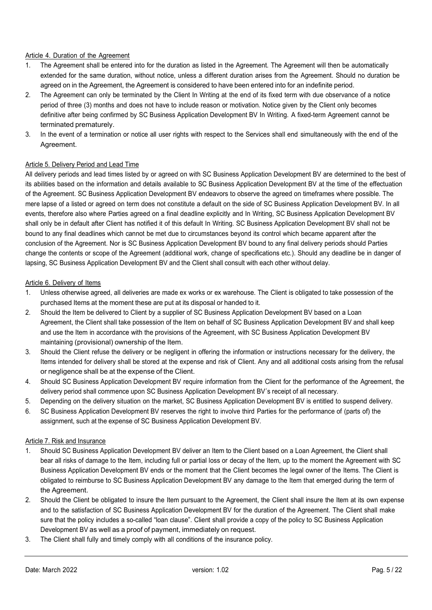#### Article 4. Duration of the Agreement

- 1. The Agreement shall be entered into for the duration as listed in the Agreement. The Agreement will then be automatically extended for the same duration, without notice, unless a different duration arises from the Agreement. Should no duration be agreed on in the Agreement, the Agreement is considered to have been entered into for an indefinite period.
- 2. The Agreement can only be terminated by the Client In Writing at the end of its fixed term with due observance of a notice period of three (3) months and does not have to include reason or motivation. Notice given by the Client only becomes definitive after being confirmed by SC Business Application Development BV In Writing. A fixed-term Agreement cannot be terminated prematurely.
- 3. In the event of a termination or notice all user rights with respect to the Services shall end simultaneously with the end of the Agreement.

## Article 5. Delivery Period and Lead Time

All delivery periods and lead times listed by or agreed on with SC Business Application Development BV are determined to the best of its abilities based on the information and details available to SC Business Application Development BV at the time of the effectuation of the Agreement. SC Business Application Development BV endeavors to observe the agreed on timeframes where possible. The mere lapse of a listed or agreed on term does not constitute a default on the side of SC Business Application Development BV. In all events, therefore also where Parties agreed on a final deadline explicitly and In Writing, SC Business Application Development BV shall only be in default after Client has notified it of this default In Writing. SC Business Application Development BV shall not be bound to any final deadlines which cannot be met due to circumstances beyond its control which became apparent after the conclusion of the Agreement. Nor is SC Business Application Development BV bound to any final delivery periods should Parties change the contents or scope of the Agreement (additional work, change of specifications etc.). Should any deadline be in danger of lapsing, SC Business Application Development BV and the Client shall consult with each other without delay.

#### Article 6. Delivery of Items

- 1. Unless otherwise agreed, all deliveries are made ex works or ex warehouse. The Client is obligated to take possession of the purchased Items at the moment these are put at its disposal or handed to it.
- 2. Should the Item be delivered to Client by a supplier of SC Business Application Development BV based on a Loan Agreement, the Client shall take possession of the Item on behalf of SC Business Application Development BV and shall keep and use the Item in accordance with the provisions of the Agreement, with SC Business Application Development BV maintaining (provisional) ownership of the Item.
- 3. Should the Client refuse the delivery or be negligent in offering the information or instructions necessary for the delivery, the Items intended for delivery shall be stored at the expense and risk of Client. Any and all additional costs arising from the refusal or negligence shall be at the expense of the Client.
- 4. Should SC Business Application Development BV require information from the Client for the performance of the Agreement, the delivery period shall commence upon SC Business Application Development BV´s receipt of all necessary.
- 5. Depending on the delivery situation on the market, SC Business Application Development BV is entitled to suspend delivery.
- 6. SC Business Application Development BV reserves the right to involve third Parties for the performance of (parts of) the assignment, such at the expense of SC Business Application Development BV.

#### Article 7. Risk and Insurance

- 1. Should SC Business Application Development BV deliver an Item to the Client based on a Loan Agreement, the Client shall bear all risks of damage to the Item, including full or partial loss or decay of the Item, up to the moment the Agreement with SC Business Application Development BV ends or the moment that the Client becomes the legal owner of the Items. The Client is obligated to reimburse to SC Business Application Development BV any damage to the Item that emerged during the term of the Agreement.
- 2. Should the Client be obligated to insure the Item pursuant to the Agreement, the Client shall insure the Item at its own expense and to the satisfaction of SC Business Application Development BV for the duration of the Agreement. The Client shall make sure that the policy includes a so-called "loan clause". Client shall provide a copy of the policy to SC Business Application Development BV as well as a proof of payment, immediately on request.
- 3. The Client shall fully and timely comply with all conditions of the insurance policy.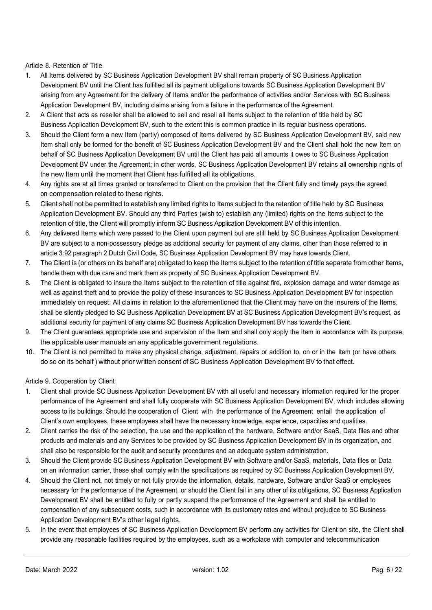## Article 8. Retention of Title

- 1. All Items delivered by SC Business Application Development BV shall remain property of SC Business Application Development BV until the Client has fulfilled all its payment obligations towards SC Business Application Development BV arising from any Agreement for the delivery of Items and/or the performance of activities and/or Services with SC Business Application Development BV, including claims arising from a failure in the performance of the Agreement.
- 2. A Client that acts as reseller shall be allowed to sell and resell all Items subject to the retention of title held by SC Business Application Development BV, such to the extent this is common practice in its regular business operations.
- 3. Should the Client form a new Item (partly) composed of Items delivered by SC Business Application Development BV, said new Item shall only be formed for the benefit of SC Business Application Development BV and the Client shall hold the new Item on behalf of SC Business Application Development BV until the Client has paid all amounts it owes to SC Business Application Development BV under the Agreement; in other words, SC Business Application Development BV retains all ownership rights of the new Item until the moment that Client has fulfilled all its obligations.
- 4. Any rights are at all times granted or transferred to Client on the provision that the Client fully and timely pays the agreed on compensation related to these rights.
- 5. Client shall not be permitted to establish any limited rights to Items subject to the retention of title held by SC Business Application Development BV. Should any third Parties (wish to) establish any (limited) rights on the Items subject to the retention of title, the Client will promptly inform SC Business Application Development BV of this intention.
- 6. Any delivered Items which were passed to the Client upon payment but are still held by SC Business Application Development BV are subject to a non-possessory pledge as additional security for payment of any claims, other than those referred to in article 3:92 paragraph 2 Dutch Civil Code, SC Business Application Development BV may have towards Client.
- 7. The Client is (or others on its behalf are) obligated to keep the Items subject to the retention of title separate from other Items, handle them with due care and mark them as property of SC Business Application Development BV.
- 8. The Client is obligated to insure the Items subject to the retention of title against fire, explosion damage and water damage as well as against theft and to provide the policy of these insurances to SC Business Application Development BV for inspection immediately on request. All claims in relation to the aforementioned that the Client may have on the insurers of the Items, shall be silently pledged to SC Business Application Development BV at SC Business Application Development BV's request, as additional security for payment of any claims SC Business Application Development BV has towards the Client.
- 9. The Client guarantees appropriate use and supervision of the Item and shall only apply the Item in accordance with its purpose, the applicable user manuals an any applicable government regulations.
- 10. The Client is not permitted to make any physical change, adjustment, repairs or addition to, on or in the Item (or have others do so on its behalf ) without prior written consent of SC Business Application Development BV to that effect.

## Article 9. Cooperation by Client

- 1. Client shall provide SC Business Application Development BV with all useful and necessary information required for the proper performance of the Agreement and shall fully cooperate with SC Business Application Development BV, which includes allowing access to its buildings. Should the cooperation of Client with the performance of the Agreement entail the application of Client's own employees, these employees shall have the necessary knowledge, experience, capacities and qualities.
- 2. Client carries the risk of the selection, the use and the application of the hardware, Software and/or SaaS, Data files and other products and materials and any Services to be provided by SC Business Application Development BV in its organization, and shall also be responsible for the audit and security procedures and an adequate system administration.
- 3. Should the Client provide SC Business Application Development BV with Software and/or SaaS, materials, Data files or Data on an information carrier, these shall comply with the specifications as required by SC Business Application Development BV.
- 4. Should the Client not, not timely or not fully provide the information, details, hardware, Software and/or SaaS or employees necessary for the performance of the Agreement, or should the Client fail in any other of its obligations, SC Business Application Development BV shall be entitled to fully or partly suspend the performance of the Agreement and shall be entitled to compensation of any subsequent costs, such in accordance with its customary rates and without prejudice to SC Business Application Development BV's other legal rights.
- 5. In the event that employees of SC Business Application Development BV perform any activities for Client on site, the Client shall provide any reasonable facilities required by the employees, such as a workplace with computer and telecommunication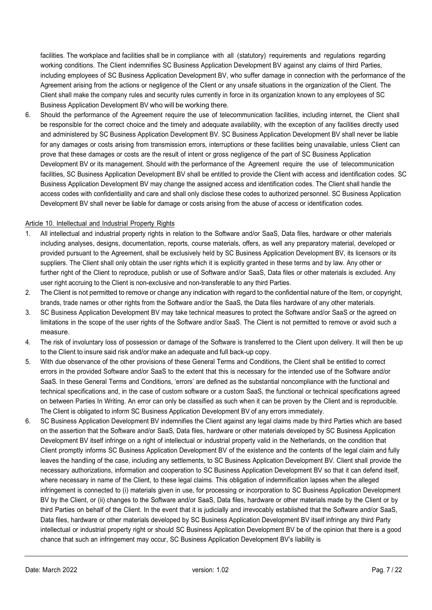facilities. The workplace and facilities shall be in compliance with all (statutory) requirements and regulations regarding working conditions. The Client indemnifies SC Business Application Development BV against any claims of third Parties, including employees of SC Business Application Development BV, who suffer damage in connection with the performance of the Agreement arising from the actions or negligence of the Client or any unsafe situations in the organization of the Client. The Client shall make the company rules and security rules currently in force in its organization known to any employees of SC Business Application Development BV who will be working there.

6. Should the performance of the Agreement require the use of telecommunication facilities, including internet, the Client shall be responsible for the correct choice and the timely and adequate availability, with the exception of any facilities directly used and administered by SC Business Application Development BV. SC Business Application Development BV shall never be liable for any damages or costs arising from transmission errors, interruptions or these facilities being unavailable, unless Client can prove that these damages or costs are the result of intent or gross negligence of the part of SC Business Application Development BV or its management. Should with the performance of the Agreement require the use of telecommunication facilities, SC Business Application Development BV shall be entitled to provide the Client with access and identification codes. SC Business Application Development BV may change the assigned access and identification codes. The Client shall handle the access codes with confidentiality and care and shall only disclose these codes to authorized personnel. SC Business Application Development BV shall never be liable for damage or costs arising from the abuse of access or identification codes.

#### Article 10. Intellectual and Industrial Property Rights

- 1. All intellectual and industrial property rights in relation to the Software and/or SaaS, Data files, hardware or other materials including analyses, designs, documentation, reports, course materials, offers, as well any preparatory material, developed or provided pursuant to the Agreement, shall be exclusively held by SC Business Application Development BV, its licensors or its suppliers. The Client shall only obtain the user rights which it is explicitly granted in these terms and by law. Any other or further right of the Client to reproduce, publish or use of Software and/or SaaS, Data files or other materials is excluded. Any user right accruing to the Client is non-exclusive and non-transferable to any third Parties.
- 2. The Client is not permitted to remove or change any indication with regard to the confidential nature of the Item, or copyright, brands, trade names or other rights from the Software and/or the SaaS, the Data files hardware of any other materials.
- 3. SC Business Application Development BV may take technical measures to protect the Software and/or SaaS or the agreed on limitations in the scope of the user rights of the Software and/or SaaS. The Client is not permitted to remove or avoid such a measure.
- 4. The risk of involuntary loss of possession or damage of the Software is transferred to the Client upon delivery. It will then be up to the Client to insure said risk and/or make an adequate and full back-up copy.
- 5. With due observance of the other provisions of these General Terms and Conditions, the Client shall be entitled to correct errors in the provided Software and/or SaaS to the extent that this is necessary for the intended use of the Software and/or SaaS. In these General Terms and Conditions, 'errors' are defined as the substantial noncompliance with the functional and technical specifications and, in the case of custom software or a custom SaaS, the functional or technical specifications agreed on between Parties In Writing. An error can only be classified as such when it can be proven by the Client and is reproducible. The Client is obligated to inform SC Business Application Development BV of any errors immediately.
- 6. SC Business Application Development BV indemnifies the Client against any legal claims made by third Parties which are based on the assertion that the Software and/or SaaS, Data files, hardware or other materials developed by SC Business Application Development BV itself infringe on a right of intellectual or industrial property valid in the Netherlands, on the condition that Client promptly informs SC Business Application Development BV of the existence and the contents of the legal claim and fully leaves the handling of the case, including any settlements, to SC Business Application Development BV. Client shall provide the necessary authorizations, information and cooperation to SC Business Application Development BV so that it can defend itself, where necessary in name of the Client, to these legal claims. This obligation of indemnification lapses when the alleged infringement is connected to (i) materials given in use, for processing or incorporation to SC Business Application Development BV by the Client, or (ii) changes to the Software and/or SaaS, Data files, hardware or other materials made by the Client or by third Parties on behalf of the Client. In the event that it is judicially and irrevocably established that the Software and/or SaaS, Data files, hardware or other materials developed by SC Business Application Development BV itself infringe any third Party intellectual or industrial property right or should SC Business Application Development BV be of the opinion that there is a good chance that such an infringement may occur, SC Business Application Development BV's liability is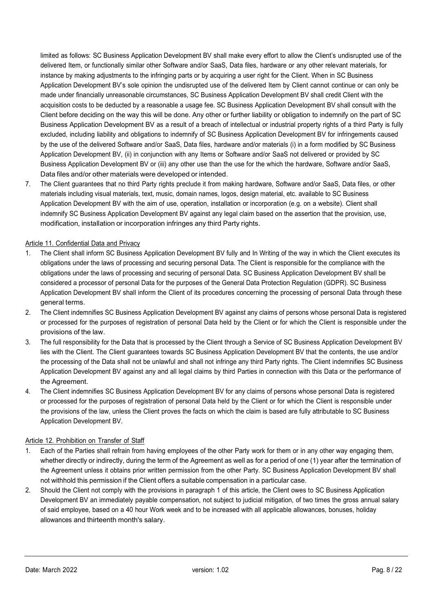limited as follows: SC Business Application Development BV shall make every effort to allow the Client's undisrupted use of the delivered Item, or functionally similar other Software and/or SaaS, Data files, hardware or any other relevant materials, for instance by making adjustments to the infringing parts or by acquiring a user right for the Client. When in SC Business Application Development BV's sole opinion the undisrupted use of the delivered Item by Client cannot continue or can only be made under financially unreasonable circumstances, SC Business Application Development BV shall credit Client with the acquisition costs to be deducted by a reasonable a usage fee. SC Business Application Development BV shall consult with the Client before deciding on the way this will be done. Any other or further liability or obligation to indemnify on the part of SC Business Application Development BV as a result of a breach of intellectual or industrial property rights of a third Party is fully excluded, including liability and obligations to indemnify of SC Business Application Development BV for infringements caused by the use of the delivered Software and/or SaaS, Data files, hardware and/or materials (i) in a form modified by SC Business Application Development BV, (ii) in conjunction with any Items or Software and/or SaaS not delivered or provided by SC Business Application Development BV or (iii) any other use than the use for the which the hardware, Software and/or SaaS, Data files and/or other materials were developed or intended.

7. The Client guarantees that no third Party rights preclude it from making hardware, Software and/or SaaS, Data files, or other materials including visual materials, text, music, domain names, logos, design material, etc. available to SC Business Application Development BV with the aim of use, operation, installation or incorporation (e.g. on a website). Client shall indemnify SC Business Application Development BV against any legal claim based on the assertion that the provision, use, modification, installation or incorporation infringes any third Party rights.

# Article 11. Confidential Data and Privacy

- 1. The Client shall inform SC Business Application Development BV fully and In Writing of the way in which the Client executes its obligations under the laws of processing and securing personal Data. The Client is responsible for the compliance with the obligations under the laws of processing and securing of personal Data. SC Business Application Development BV shall be considered a processor of personal Data for the purposes of the General Data Protection Regulation (GDPR). SC Business Application Development BV shall inform the Client of its procedures concerning the processing of personal Data through these general terms.
- 2. The Client indemnifies SC Business Application Development BV against any claims of persons whose personal Data is registered or processed for the purposes of registration of personal Data held by the Client or for which the Client is responsible under the provisions of the law.
- 3. The full responsibility for the Data that is processed by the Client through a Service of SC Business Application Development BV lies with the Client. The Client guarantees towards SC Business Application Development BV that the contents, the use and/or the processing of the Data shall not be unlawful and shall not infringe any third Party rights. The Client indemnifies SC Business Application Development BV against any and all legal claims by third Parties in connection with this Data or the performance of the Agreement.
- 4. The Client indemnifies SC Business Application Development BV for any claims of persons whose personal Data is registered or processed for the purposes of registration of personal Data held by the Client or for which the Client is responsible under the provisions of the law, unless the Client proves the facts on which the claim is based are fully attributable to SC Business Application Development BV.

## Article 12. Prohibition on Transfer of Staff

- 1. Each of the Parties shall refrain from having employees of the other Party work for them or in any other way engaging them, whether directly or indirectly, during the term of the Agreement as well as for a period of one (1) year after the termination of the Agreement unless it obtains prior written permission from the other Party. SC Business Application Development BV shall not withhold this permission if the Client offers a suitable compensation in a particular case.
- 2. Should the Client not comply with the provisions in paragraph 1 of this article, the Client owes to SC Business Application Development BV an immediately payable compensation, not subject to judicial mitigation, of two times the gross annual salary of said employee, based on a 40 hour Work week and to be increased with all applicable allowances, bonuses, holiday allowances and thirteenth month's salary.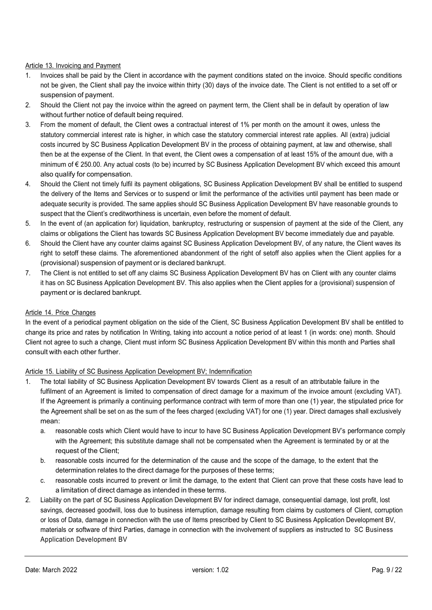# Article 13. Invoicing and Payment

- 1. Invoices shall be paid by the Client in accordance with the payment conditions stated on the invoice. Should specific conditions not be given, the Client shall pay the invoice within thirty (30) days of the invoice date. The Client is not entitled to a set off or suspension of payment.
- 2. Should the Client not pay the invoice within the agreed on payment term, the Client shall be in default by operation of law without further notice of default being required.
- 3. From the moment of default, the Client owes a contractual interest of 1% per month on the amount it owes, unless the statutory commercial interest rate is higher, in which case the statutory commercial interest rate applies. All (extra) judicial costs incurred by SC Business Application Development BV in the process of obtaining payment, at law and otherwise, shall then be at the expense of the Client. In that event, the Client owes a compensation of at least 15% of the amount due, with a minimum of € 250.00. Any actual costs (to be) incurred by SC Business Application Development BV which exceed this amount also qualify for compensation.
- 4. Should the Client not timely fulfil its payment obligations, SC Business Application Development BV shall be entitled to suspend the delivery of the Items and Services or to suspend or limit the performance of the activities until payment has been made or adequate security is provided. The same applies should SC Business Application Development BV have reasonable grounds to suspect that the Client's creditworthiness is uncertain, even before the moment of default.
- 5. In the event of (an application for) liquidation, bankruptcy, restructuring or suspension of payment at the side of the Client, any claims or obligations the Client has towards SC Business Application Development BV become immediately due and payable.
- 6. Should the Client have any counter claims against SC Business Application Development BV, of any nature, the Client waves its right to setoff these claims. The aforementioned abandonment of the right of setoff also applies when the Client applies for a (provisional) suspension of payment or is declared bankrupt.
- 7. The Client is not entitled to set off any claims SC Business Application Development BV has on Client with any counter claims it has on SC Business Application Development BV. This also applies when the Client applies for a (provisional) suspension of payment or is declared bankrupt.

## Article 14. Price Changes

In the event of a periodical payment obligation on the side of the Client, SC Business Application Development BV shall be entitled to change its price and rates by notification In Writing, taking into account a notice period of at least 1 (in words: one) month. Should Client not agree to such a change, Client must inform SC Business Application Development BV within this month and Parties shall consult with each other further.

## Article 15. Liability of SC Business Application Development BV; Indemnification

- 1. The total liability of SC Business Application Development BV towards Client as a result of an attributable failure in the fulfilment of an Agreement is limited to compensation of direct damage for a maximum of the invoice amount (excluding VAT). If the Agreement is primarily a continuing performance contract with term of more than one (1) year, the stipulated price for the Agreement shall be set on as the sum of the fees charged (excluding VAT) for one (1) year. Direct damages shall exclusively mean:
	- a. reasonable costs which Client would have to incur to have SC Business Application Development BV's performance comply with the Agreement; this substitute damage shall not be compensated when the Agreement is terminated by or at the request of the Client;
	- b. reasonable costs incurred for the determination of the cause and the scope of the damage, to the extent that the determination relates to the direct damage for the purposes of these terms;
	- c. reasonable costs incurred to prevent or limit the damage, to the extent that Client can prove that these costs have lead to a limitation of direct damage as intended in these terms.
- 2. Liability on the part of SC Business Application Development BV for indirect damage, consequential damage, lost profit, lost savings, decreased goodwill, loss due to business interruption, damage resulting from claims by customers of Client, corruption or loss of Data, damage in connection with the use of Items prescribed by Client to SC Business Application Development BV, materials or software of third Parties, damage in connection with the involvement of suppliers as instructed to SC Business Application Development BV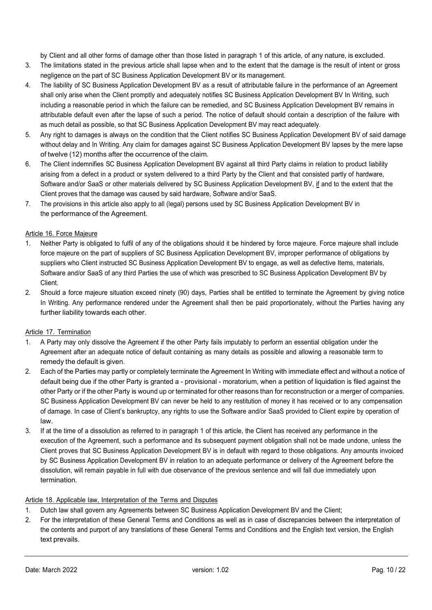by Client and all other forms of damage other than those listed in paragraph 1 of this article, of any nature, is excluded.

- 3. The limitations stated in the previous article shall lapse when and to the extent that the damage is the result of intent or gross negligence on the part of SC Business Application Development BV or its management.
- 4. The liability of SC Business Application Development BV as a result of attributable failure in the performance of an Agreement shall only arise when the Client promptly and adequately notifies SC Business Application Development BV In Writing, such including a reasonable period in which the failure can be remedied, and SC Business Application Development BV remains in attributable default even after the lapse of such a period. The notice of default should contain a description of the failure with as much detail as possible, so that SC Business Application Development BV may react adequately.
- 5. Any right to damages is always on the condition that the Client notifies SC Business Application Development BV of said damage without delay and In Writing. Any claim for damages against SC Business Application Development BV lapses by the mere lapse of twelve (12) months after the occurrence of the claim.
- 6. The Client indemnifies SC Business Application Development BV against all third Party claims in relation to product liability arising from a defect in a product or system delivered to a third Party by the Client and that consisted partly of hardware, Software and/or SaaS or other materials delivered by SC Business Application Development BV, if and to the extent that the Client proves that the damage was caused by said hardware, Software and/or SaaS.
- 7. The provisions in this article also apply to all (legal) persons used by SC Business Application Development BV in the performance of the Agreement.

## Article 16. Force Majeure

- 1. Neither Party is obligated to fulfil of any of the obligations should it be hindered by force majeure. Force majeure shall include force majeure on the part of suppliers of SC Business Application Development BV, improper performance of obligations by suppliers who Client instructed SC Business Application Development BV to engage, as well as defective Items, materials, Software and/or SaaS of any third Parties the use of which was prescribed to SC Business Application Development BV by Client.
- 2. Should a force majeure situation exceed ninety (90) days, Parties shall be entitled to terminate the Agreement by giving notice In Writing. Any performance rendered under the Agreement shall then be paid proportionately, without the Parties having any further liability towards each other.

# Article 17. Termination

- 1. A Party may only dissolve the Agreement if the other Party fails imputably to perform an essential obligation under the Agreement after an adequate notice of default containing as many details as possible and allowing a reasonable term to remedy the default is given.
- 2. Each of the Parties may partly or completely terminate the Agreement In Writing with immediate effect and without a notice of default being due if the other Party is granted a - provisional - moratorium, when a petition of liquidation is filed against the other Party or if the other Party is wound up or terminated for other reasons than for reconstruction or a merger of companies. SC Business Application Development BV can never be held to any restitution of money it has received or to any compensation of damage. In case of Client's bankruptcy, any rights to use the Software and/or SaaS provided to Client expire by operation of law.
- 3. If at the time of a dissolution as referred to in paragraph 1 of this article, the Client has received any performance in the execution of the Agreement, such a performance and its subsequent payment obligation shall not be made undone, unless the Client proves that SC Business Application Development BV is in default with regard to those obligations. Any amounts invoiced by SC Business Application Development BV in relation to an adequate performance or delivery of the Agreement before the dissolution, will remain payable in full with due observance of the previous sentence and will fall due immediately upon termination.

## Article 18. Applicable law, Interpretation of the Terms and Disputes

- 1. Dutch law shall govern any Agreements between SC Business Application Development BV and the Client;
- 2. For the interpretation of these General Terms and Conditions as well as in case of discrepancies between the interpretation of the contents and purport of any translations of these General Terms and Conditions and the English text version, the English text prevails.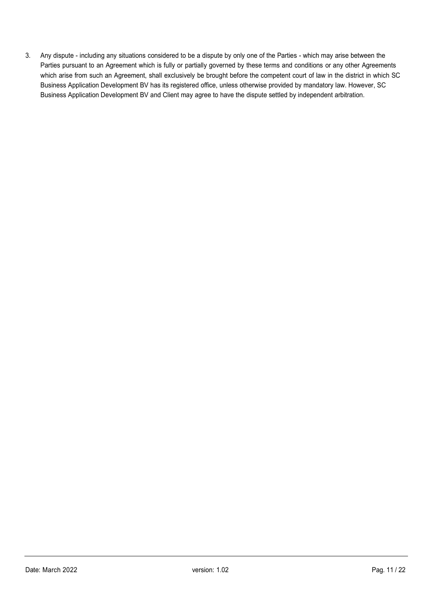3. Any dispute - including any situations considered to be a dispute by only one of the Parties - which may arise between the Parties pursuant to an Agreement which is fully or partially governed by these terms and conditions or any other Agreements which arise from such an Agreement, shall exclusively be brought before the competent court of law in the district in which SC Business Application Development BV has its registered office, unless otherwise provided by mandatory law. However, SC Business Application Development BV and Client may agree to have the dispute settled by independent arbitration.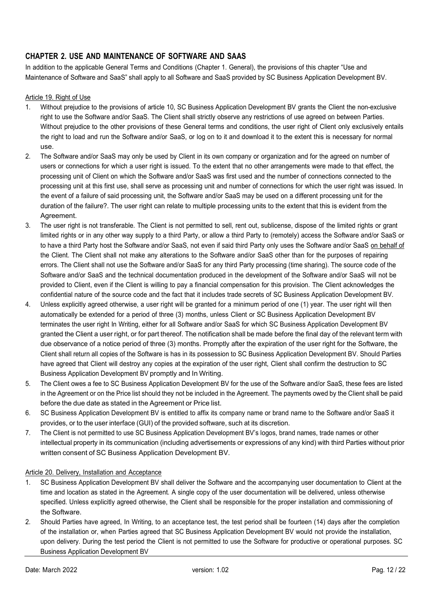# CHAPTER 2. USE AND MAINTENANCE OF SOFTWARE AND SAAS

In addition to the applicable General Terms and Conditions (Chapter 1. General), the provisions of this chapter "Use and Maintenance of Software and SaaS" shall apply to all Software and SaaS provided by SC Business Application Development BV.

#### Article 19. Right of Use

- 1. Without prejudice to the provisions of article 10, SC Business Application Development BV grants the Client the non-exclusive right to use the Software and/or SaaS. The Client shall strictly observe any restrictions of use agreed on between Parties. Without prejudice to the other provisions of these General terms and conditions, the user right of Client only exclusively entails the right to load and run the Software and/or SaaS, or log on to it and download it to the extent this is necessary for normal use.
- 2. The Software and/or SaaS may only be used by Client in its own company or organization and for the agreed on number of users or connections for which a user right is issued. To the extent that no other arrangements were made to that effect, the processing unit of Client on which the Software and/or SaaS was first used and the number of connections connected to the processing unit at this first use, shall serve as processing unit and number of connections for which the user right was issued. In the event of a failure of said processing unit, the Software and/or SaaS may be used on a different processing unit for the duration of the failure?. The user right can relate to multiple processing units to the extent that this is evident from the Agreement.
- 3. The user right is not transferable. The Client is not permitted to sell, rent out, sublicense, dispose of the limited rights or grant limited rights or in any other way supply to a third Party, or allow a third Party to (remotely) access the Software and/or SaaS or to have a third Party host the Software and/or SaaS, not even if said third Party only uses the Software and/or SaaS on behalf of the Client. The Client shall not make any alterations to the Software and/or SaaS other than for the purposes of repairing errors. The Client shall not use the Software and/or SaaS for any third Party processing (time sharing). The source code of the Software and/or SaaS and the technical documentation produced in the development of the Software and/or SaaS will not be provided to Client, even if the Client is willing to pay a financial compensation for this provision. The Client acknowledges the confidential nature of the source code and the fact that it includes trade secrets of SC Business Application Development BV.
- 4. Unless explicitly agreed otherwise, a user right will be granted for a minimum period of one (1) year. The user right will then automatically be extended for a period of three (3) months, unless Client or SC Business Application Development BV terminates the user right In Writing, either for all Software and/or SaaS for which SC Business Application Development BV granted the Client a user right, or for part thereof. The notification shall be made before the final day of the relevant term with due observance of a notice period of three (3) months. Promptly after the expiration of the user right for the Software, the Client shall return all copies of the Software is has in its possession to SC Business Application Development BV. Should Parties have agreed that Client will destroy any copies at the expiration of the user right, Client shall confirm the destruction to SC Business Application Development BV promptly and In Writing.
- 5. The Client owes a fee to SC Business Application Development BV for the use of the Software and/or SaaS, these fees are listed in the Agreement or on the Price list should they not be included in the Agreement. The payments owed by the Client shall be paid before the due date as stated in the Agreement or Price list.
- 6. SC Business Application Development BV is entitled to affix its company name or brand name to the Software and/or SaaS it provides, or to the user interface (GUI) of the provided software, such at its discretion.
- 7. The Client is not permitted to use SC Business Application Development BV's logos, brand names, trade names or other intellectual property in its communication (including advertisements or expressions of any kind) with third Parties without prior written consent of SC Business Application Development BV.

## Article 20. Delivery, Installation and Acceptance

- 1. SC Business Application Development BV shall deliver the Software and the accompanying user documentation to Client at the time and location as stated in the Agreement. A single copy of the user documentation will be delivered, unless otherwise specified. Unless explicitly agreed otherwise, the Client shall be responsible for the proper installation and commissioning of the Software.
- 2. Should Parties have agreed, In Writing, to an acceptance test, the test period shall be fourteen (14) days after the completion of the installation or, when Parties agreed that SC Business Application Development BV would not provide the installation, upon delivery. During the test period the Client is not permitted to use the Software for productive or operational purposes. SC Business Application Development BV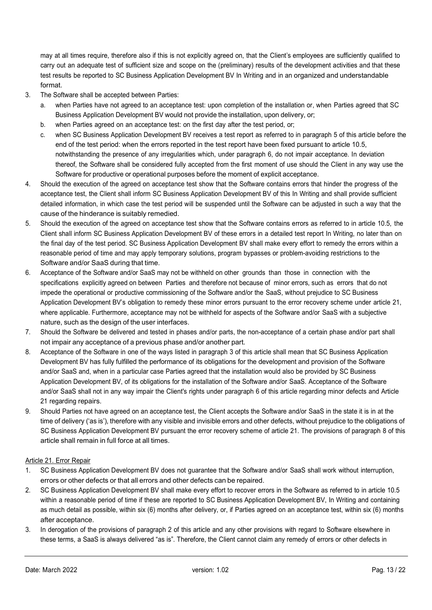may at all times require, therefore also if this is not explicitly agreed on, that the Client's employees are sufficiently qualified to carry out an adequate test of sufficient size and scope on the (preliminary) results of the development activities and that these test results be reported to SC Business Application Development BV In Writing and in an organized and understandable format.

- 3. The Software shall be accepted between Parties:
	- a. when Parties have not agreed to an acceptance test: upon completion of the installation or, when Parties agreed that SC Business Application Development BV would not provide the installation, upon delivery, or;
	- b. when Parties agreed on an acceptance test: on the first day after the test period, or;
	- c. when SC Business Application Development BV receives a test report as referred to in paragraph 5 of this article before the end of the test period: when the errors reported in the test report have been fixed pursuant to article 10.5, notwithstanding the presence of any irregularities which, under paragraph 6, do not impair acceptance. In deviation thereof, the Software shall be considered fully accepted from the first moment of use should the Client in any way use the Software for productive or operational purposes before the moment of explicit acceptance.
- 4. Should the execution of the agreed on acceptance test show that the Software contains errors that hinder the progress of the acceptance test, the Client shall inform SC Business Application Development BV of this In Writing and shall provide sufficient detailed information, in which case the test period will be suspended until the Software can be adjusted in such a way that the cause of the hinderance is suitably remedied.
- 5. Should the execution of the agreed on acceptance test show that the Software contains errors as referred to in article 10.5, the Client shall inform SC Business Application Development BV of these errors in a detailed test report In Writing, no later than on the final day of the test period. SC Business Application Development BV shall make every effort to remedy the errors within a reasonable period of time and may apply temporary solutions, program bypasses or problem-avoiding restrictions to the Software and/or SaaS during that time.
- 6. Acceptance of the Software and/or SaaS may not be withheld on other grounds than those in connection with the specifications explicitly agreed on between Parties and therefore not because of minor errors, such as errors that do not impede the operational or productive commissioning of the Software and/or the SaaS, without prejudice to SC Business Application Development BV's obligation to remedy these minor errors pursuant to the error recovery scheme under article 21, where applicable. Furthermore, acceptance may not be withheld for aspects of the Software and/or SaaS with a subjective nature, such as the design of the user interfaces.
- 7. Should the Software be delivered and tested in phases and/or parts, the non-acceptance of a certain phase and/or part shall not impair any acceptance of a previous phase and/or another part.
- 8. Acceptance of the Software in one of the ways listed in paragraph 3 of this article shall mean that SC Business Application Development BV has fully fulfilled the performance of its obligations for the development and provision of the Software and/or SaaS and, when in a particular case Parties agreed that the installation would also be provided by SC Business Application Development BV, of its obligations for the installation of the Software and/or SaaS. Acceptance of the Software and/or SaaS shall not in any way impair the Client's rights under paragraph 6 of this article regarding minor defects and Article 21 regarding repairs.
- 9. Should Parties not have agreed on an acceptance test, the Client accepts the Software and/or SaaS in the state it is in at the time of delivery ('as is'), therefore with any visible and invisible errors and other defects, without prejudice to the obligations of SC Business Application Development BV pursuant the error recovery scheme of article 21. The provisions of paragraph 8 of this article shall remain in full force at all times.

## Article 21. Error Repair

- 1. SC Business Application Development BV does not guarantee that the Software and/or SaaS shall work without interruption, errors or other defects or that all errors and other defects can be repaired.
- 2. SC Business Application Development BV shall make every effort to recover errors in the Software as referred to in article 10.5 within a reasonable period of time if these are reported to SC Business Application Development BV, In Writing and containing as much detail as possible, within six (6) months after delivery, or, if Parties agreed on an acceptance test, within six (6) months after acceptance.
- 3. In derogation of the provisions of paragraph 2 of this article and any other provisions with regard to Software elsewhere in these terms, a SaaS is always delivered "as is". Therefore, the Client cannot claim any remedy of errors or other defects in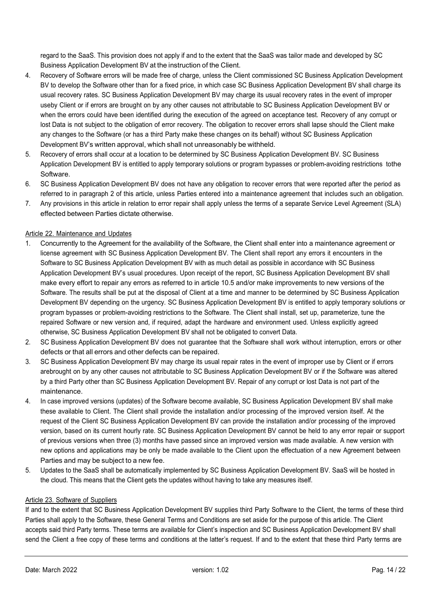regard to the SaaS. This provision does not apply if and to the extent that the SaaS was tailor made and developed by SC Business Application Development BV at the instruction of the Client.

- 4. Recovery of Software errors will be made free of charge, unless the Client commissioned SC Business Application Development BV to develop the Software other than for a fixed price, in which case SC Business Application Development BV shall charge its usual recovery rates. SC Business Application Development BV may charge its usual recovery rates in the event of improper use by Client or if errors are brought on by any other causes not attributable to SC Business Application Development BV or when the errors could have been identified during the execution of the agreed on acceptance test. Recovery of any corrupt or lost Data is not subject to the obligation of error recovery. The obligation to recover errors shall lapse should the Client make any changes to the Software (or has a third Party make these changes on its behalf) without SC Business Application Development BV's written approval, which shall not unreasonably be withheld.
- 5. Recovery of errors shall occur at a location to be determined by SC Business Application Development BV. SC Business Application Development BV is entitled to apply temporary solutions or program bypasses or problem-avoiding restrictions to the Software.
- 6. SC Business Application Development BV does not have any obligation to recover errors that were reported after the period as referred to in paragraph 2 of this article, unless Parties entered into a maintenance agreement that includes such an obligation.
- 7. Any provisions in this article in relation to error repair shall apply unless the terms of a separate Service Level Agreement (SLA) effected between Parties dictate otherwise.

# Article 22. Maintenance and Updates

- 1. Concurrently to the Agreement for the availability of the Software, the Client shall enter into a maintenance agreement or license agreement with SC Business Application Development BV. The Client shall report any errors it encounters in the Software to SC Business Application Development BV with as much detail as possible in accordance with SC Business Application Development BV's usual procedures. Upon receipt of the report, SC Business Application Development BV shall make every effort to repair any errors as referred to in article 10.5 and/or make improvements to new versions of the Software. The results shall be put at the disposal of Client at a time and manner to be determined by SC Business Application Development BV depending on the urgency. SC Business Application Development BV is entitled to apply temporary solutions or program bypasses or problem-avoiding restrictions to the Software. The Client shall install, set up, parameterize, tune the repaired Software or new version and, if required, adapt the hardware and environment used. Unless explicitly agreed otherwise, SC Business Application Development BV shall not be obligated to convert Data.
- 2. SC Business Application Development BV does not guarantee that the Software shall work without interruption, errors or other defects or that all errors and other defects can be repaired.
- 3. SC Business Application Development BV may charge its usual repair rates in the event of improper use by Client or if errors are brought on by any other causes not attributable to SC Business Application Development BV or if the Software was altered by a third Party other than SC Business Application Development BV. Repair of any corrupt or lost Data is not part of the maintenance.
- 4. In case improved versions (updates) of the Software become available, SC Business Application Development BV shall make these available to Client. The Client shall provide the installation and/or processing of the improved version itself. At the request of the Client SC Business Application Development BV can provide the installation and/or processing of the improved version, based on its current hourly rate. SC Business Application Development BV cannot be held to any error repair or support of previous versions when three (3) months have passed since an improved version was made available. A new version with new options and applications may be only be made available to the Client upon the effectuation of a new Agreement between Parties and may be subject to a new fee.
- 5. Updates to the SaaS shall be automatically implemented by SC Business Application Development BV. SaaS will be hosted in the cloud. This means that the Client gets the updates without having to take any measures itself.

# Article 23. Software of Suppliers

If and to the extent that SC Business Application Development BV supplies third Party Software to the Client, the terms of these third Parties shall apply to the Software, these General Terms and Conditions are set aside for the purpose of this article. The Client accepts said third Party terms. These terms are available for Client's inspection and SC Business Application Development BV shall send the Client a free copy of these terms and conditions at the latter's request. If and to the extent that these third Party terms are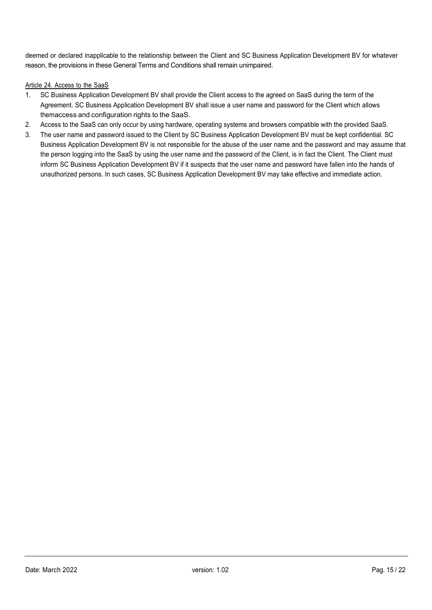deemed or declared inapplicable to the relationship between the Client and SC Business Application Development BV for whatever reason, the provisions in these General Terms and Conditions shall remain unimpaired.

# Article 24. Access to the SaaS

- 1. SC Business Application Development BV shall provide the Client access to the agreed on SaaS during the term of the Agreement. SC Business Application Development BV shall issue a user name and password for the Client which allows them access and configuration rights to the SaaS.
- 2. Access to the SaaS can only occur by using hardware, operating systems and browsers compatible with the provided SaaS.
- 3. The user name and password issued to the Client by SC Business Application Development BV must be kept confidential. SC Business Application Development BV is not responsible for the abuse of the user name and the password and may assume that the person logging into the SaaS by using the user name and the password of the Client, is in fact the Client. The Client must inform SC Business Application Development BV if it suspects that the user name and password have fallen into the hands of unauthorized persons. In such cases, SC Business Application Development BV may take effective and immediate action.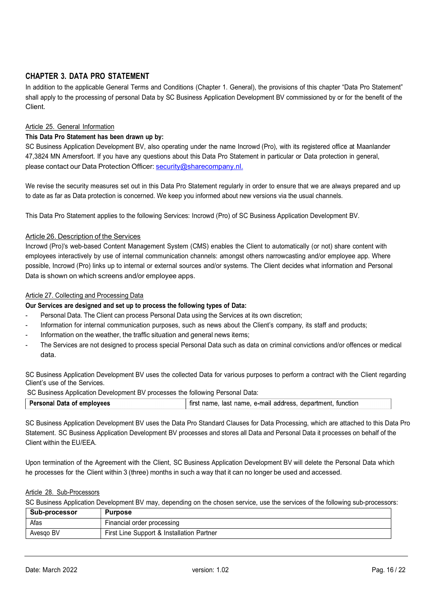# CHAPTER 3. DATA PRO STATEMENT

In addition to the applicable General Terms and Conditions (Chapter 1. General), the provisions of this chapter "Data Pro Statement" shall apply to the processing of personal Data by SC Business Application Development BV commissioned by or for the benefit of the Client.

## Article 25. General Information

# This Data Pro Statement has been drawn up by:

SC Business Application Development BV, also operating under the name Incrowd (Pro), with its registered office at Maanlander 47, 3824 MN Amersfoort. If you have any questions about this Data Pro Statement in particular or Data protection in general, please contact our Data Protection Officer: security@sharecompany.nl.

We revise the security measures set out in this Data Pro Statement regularly in order to ensure that we are always prepared and up to date as far as Data protection is concerned. We keep you informed about new versions via the usual channels.

This Data Pro Statement applies to the following Services: Incrowd (Pro) of SC Business Application Development BV.

#### Article 26. Description of the Services

Incrowd (Pro)'s web-based Content Management System (CMS) enables the Client to automatically (or not) share content with employees interactively by use of internal communication channels: amongst others narrowcasting and/or employee app. Where possible, Incrowd (Pro) links up to internal or external sources and/or systems. The Client decides what information and Personal Data is shown on which screens and/or employee apps.

#### Article 27. Collecting and Processing Data

#### Our Services are designed and set up to process the following types of Data:

- Personal Data. The Client can process Personal Data using the Services at its own discretion;
- Information for internal communication purposes, such as news about the Client's company, its staff and products;
- Information on the weather, the traffic situation and general news items;
- The Services are not designed to process special Personal Data such as data on criminal convictions and/or offences or medical data.

SC Business Application Development BV uses the collected Data for various purposes to perform a contract with the Client regarding Client's use of the Services.

SC Business Application Development BV processes the following Personal Data:

| Personal Data of employees | first name, last name, e-mail address, department, function |
|----------------------------|-------------------------------------------------------------|

SC Business Application Development BV uses the Data Pro Standard Clauses for Data Processing, which are attached to this Data Pro Statement. SC Business Application Development BV processes and stores all Data and Personal Data it processes on behalf of the Client within the EU/EEA.

Upon termination of the Agreement with the Client, SC Business Application Development BV will delete the Personal Data which he processes for the Client within 3 (three) months in such a way that it can no longer be used and accessed.

#### Article 28. Sub-Processors

SC Business Application Development BV may, depending on the chosen service, use the services of the following sub-processors:

| Sub-processor | <b>Purpose</b>                            |  |
|---------------|-------------------------------------------|--|
| Afas          | Financial order processing                |  |
| Avesgo BV     | First Line Support & Installation Partner |  |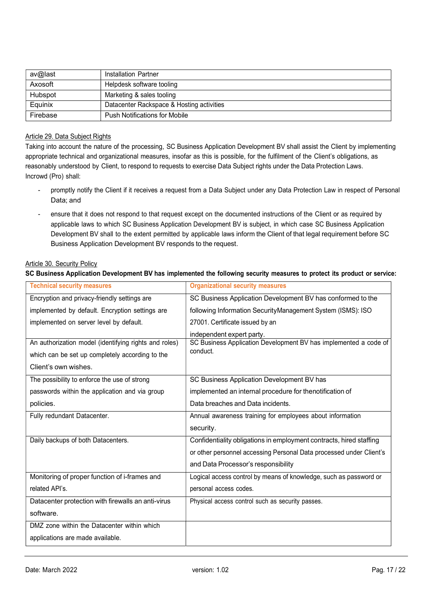| av@last  | Installation Partner                      |
|----------|-------------------------------------------|
| Axosoft  | Helpdesk software tooling                 |
| Hubspot  | Marketing & sales tooling                 |
| Equinix  | Datacenter Rackspace & Hosting activities |
| Firebase | <b>Push Notifications for Mobile</b>      |

#### Article 29. Data Subject Rights

Taking into account the nature of the processing, SC Business Application Development BV shall assist the Client by implementing appropriate technical and organizational measures, insofar as this is possible, for the fulfilment of the Client's obligations, as reasonably understood by Client, to respond to requests to exercise Data Subject rights under the Data Protection Laws. Incrowd (Pro) shall:

- promptly notify the Client if it receives a request from a Data Subject under any Data Protection Law in respect of Personal Data; and
- ensure that it does not respond to that request except on the documented instructions of the Client or as required by applicable laws to which SC Business Application Development BV is subject, in which case SC Business Application Development BV shall to the extent permitted by applicable laws inform the Client of that legal requirement before SC Business Application Development BV responds to the request.

#### Article 30. Security Policy

#### SC Business Application Development BV has implemented the following security measures to protect its product or service:

| <b>Technical security measures</b>                                                                                               | <b>Organizational security measures</b>                                                                   |  |
|----------------------------------------------------------------------------------------------------------------------------------|-----------------------------------------------------------------------------------------------------------|--|
| Encryption and privacy-friendly settings are                                                                                     | SC Business Application Development BV has conformed to the                                               |  |
| implemented by default. Encryption settings are                                                                                  | following Information SecurityManagement System (ISMS): ISO                                               |  |
| implemented on server level by default.                                                                                          | 27001. Certificate issued by an                                                                           |  |
| An authorization model (identifying rights and roles)<br>which can be set up completely according to the<br>Client's own wishes. | independent expert party.<br>SC Business Application Development BV has implemented a code of<br>conduct. |  |
| The possibility to enforce the use of strong                                                                                     | SC Business Application Development BV has                                                                |  |
| passwords within the application and via group                                                                                   | implemented an internal procedure for thenotification of                                                  |  |
| policies.                                                                                                                        | Data breaches and Data incidents.                                                                         |  |
| Fully redundant Datacenter.                                                                                                      | Annual awareness training for employees about information                                                 |  |
|                                                                                                                                  | security.                                                                                                 |  |
| Daily backups of both Datacenters.                                                                                               | Confidentiality obligations in employment contracts, hired staffing                                       |  |
|                                                                                                                                  | or other personnel accessing Personal Data processed under Client's                                       |  |
|                                                                                                                                  | and Data Processor's responsibility                                                                       |  |
| Monitoring of proper function of i-frames and                                                                                    | Logical access control by means of knowledge, such as password or                                         |  |
| related API's.                                                                                                                   | personal access codes.                                                                                    |  |
| Datacenter protection with firewalls an anti-virus                                                                               | Physical access control such as security passes.                                                          |  |
| software.                                                                                                                        |                                                                                                           |  |
| DMZ zone within the Datacenter within which                                                                                      |                                                                                                           |  |
| applications are made available.                                                                                                 |                                                                                                           |  |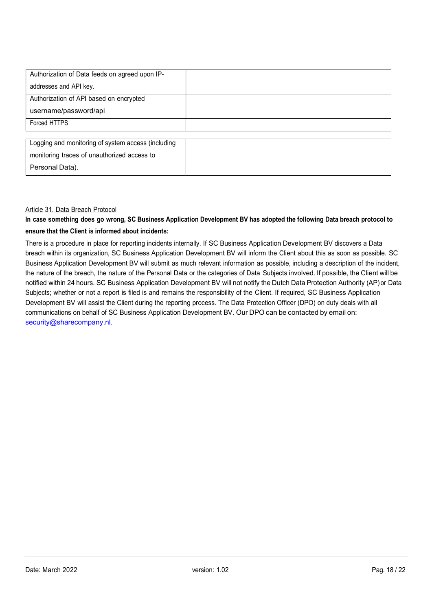| Authorization of Data feeds on agreed upon IP-     |  |
|----------------------------------------------------|--|
| addresses and API key.                             |  |
| Authorization of API based on encrypted            |  |
| username/password/api                              |  |
| Forced HTTPS                                       |  |
|                                                    |  |
| Logging and monitoring of system access (including |  |
| monitoring traces of unauthorized access to        |  |
| Personal Data).                                    |  |

## Article 31. Data Breach Protocol

# In case something does go wrong, SC Business Application Development BV has adopted the following Data breach protocol to ensure that the Client is informed about incidents:

There is a procedure in place for reporting incidents internally. If SC Business Application Development BV discovers a Data breach within its organization, SC Business Application Development BV will inform the Client about this as soon as possible. SC Business Application Development BV will submit as much relevant information as possible, including a description of the incident, the nature of the breach, the nature of the Personal Data or the categories of Data Subjects involved. If possible, the Client will be notified within 24 hours. SC Business Application Development BV will not notify the Dutch Data Protection Authority (AP) or Data Subjects; whether or not a report is filed is and remains the responsibility of the Client. If required, SC Business Application Development BV will assist the Client during the reporting process. The Data Protection Officer (DPO) on duty deals with all communications on behalf of SC Business Application Development BV. Our DPO can be contacted by email on: security@sharecompany.nl.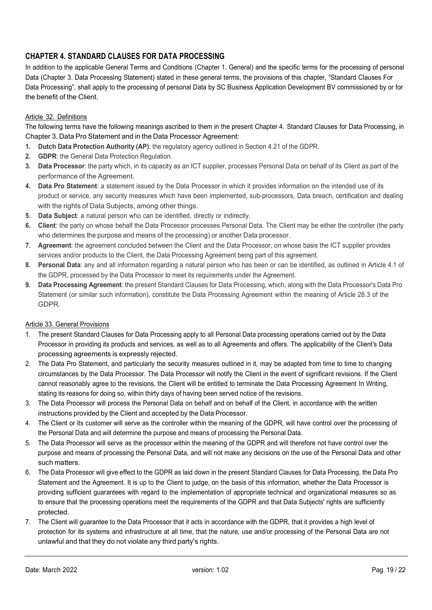# CHAPTER 4. STANDARD CLAUSES FOR DATA PROCESSING

In addition to the applicable General Terms and Conditions (Chapter 1. General) and the specific terms for the processing of personal Data (Chapter 3. Data Processing Statement) stated in these general terms, the provisions of this chapter, "Standard Clauses For Data Processing", shall apply to the processing of personal Data by SC Business Application Development BV commissioned by or for the benefit of the Client.

# Article 32. Definitions

The following terms have the following meanings ascribed to them in the present Chapter 4. Standard Clauses for Data Processing, in Chapter 3. Data Pro Statement and in the Data Processor Agreement:

- 1. Dutch Data Protection Authority (AP): the regulatory agency outlined in Section 4.21 of the GDPR.
- 2. **GDPR:** the General Data Protection Regulation.
- 3. Data Processor: the party which, in its capacity as an ICT supplier, processes Personal Data on behalf of its Client as part of the performance of the Agreement.
- 4. Data Pro Statement: a statement issued by the Data Processor in which it provides information on the intended use of its product or service, any security measures which have been implemented, sub-processors, Data breach, certification and dealing with the rights of Data Subjects, among other things.
- 5. Data Subject: a natural person who can be identified, directly or indirectly.
- 6. Client: the party on whose behalf the Data Processor processes Personal Data. The Client may be either the controller (the party who determines the purpose and means of the processing) or another Data processor.
- 7. Agreement: the agreement concluded between the Client and the Data Processor, on whose basis the ICT supplier provides services and/or products to the Client, the Data Processing Agreement being part of this agreement.
- 8. Personal Data: any and all information regarding a natural person who has been or can be identified, as outlined in Article 4.1 of the GDPR, processed by the Data Processor to meet its requirements under the Agreement.
- 9. Data Processing Agreement: the present Standard Clauses for Data Processing, which, along with the Data Processor's Data Pro Statement (or similar such information), constitute the Data Processing Agreement within the meaning of Article 28.3 of the GDPR.

## Article 33. General Provisions

- 1. The present Standard Clauses for Data Processing apply to all Personal Data processing operations carried out by the Data Processor in providing its products and services, as well as to all Agreements and offers. The applicability of the Client's Data processing agreements is expressly rejected.
- 2. The Data Pro Statement, and particularly the security measures outlined in it, may be adapted from time to time to changing circumstances by the Data Processor. The Data Processor will notify the Client in the event of significant revisions. If the Client cannot reasonably agree to the revisions, the Client will be entitled to terminate the Data Processing Agreement In Writing, stating its reasons for doing so, within thirty days of having been served notice of the revisions.
- 3. The Data Processor will process the Personal Data on behalf and on behalf of the Client, in accordance with the written instructions provided by the Client and accepted by the Data Processor.
- 4. The Client or its customer will serve as the controller within the meaning of the GDPR, will have control over the processing of the Personal Data and will determine the purpose and means of processing the Personal Data.
- 5. The Data Processor will serve as the processor within the meaning of the GDPR and will therefore not have control over the purpose and means of processing the Personal Data, and will not make any decisions on the use of the Personal Data and other such matters.
- 6. The Data Processor will give effect to the GDPR as laid down in the present Standard Clauses for Data Processing, the Data Pro Statement and the Agreement. It is up to the Client to judge, on the basis of this information, whether the Data Processor is providing sufficient guarantees with regard to the implementation of appropriate technical and organizational measures so as to ensure that the processing operations meet the requirements of the GDPR and that Data Subjects' rights are sufficiently protected.
- 7. The Client will guarantee to the Data Processor that it acts in accordance with the GDPR, that it provides a high level of protection for its systems and infrastructure at all time, that the nature, use and/or processing of the Personal Data are not unlawful and that they do not violate any third party's rights.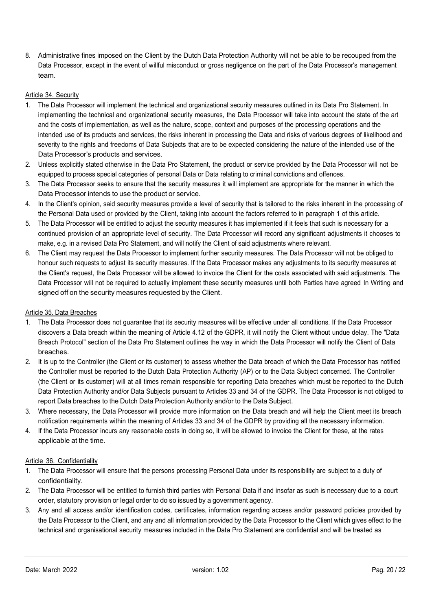8. Administrative fines imposed on the Client by the Dutch Data Protection Authority will not be able to be recouped from the Data Processor, except in the event of willful misconduct or gross negligence on the part of the Data Processor's management team.

#### Article 34. Security

- 1. The Data Processor will implement the technical and organizational security measures outlined in its Data Pro Statement. In implementing the technical and organizational security measures, the Data Processor will take into account the state of the art and the costs of implementation, as well as the nature, scope, context and purposes of the processing operations and the intended use of its products and services, the risks inherent in processing the Data and risks of various degrees of likelihood and severity to the rights and freedoms of Data Subjects that are to be expected considering the nature of the intended use of the Data Processor's products and services.
- 2. Unless explicitly stated otherwise in the Data Pro Statement, the product or service provided by the Data Processor will not be equipped to process special categories of personal Data or Data relating to criminal convictions and offences.
- 3. The Data Processor seeks to ensure that the security measures it will implement are appropriate for the manner in which the Data Processor intends to use the product or service.
- 4. In the Client's opinion, said security measures provide a level of security that is tailored to the risks inherent in the processing of the Personal Data used or provided by the Client, taking into account the factors referred to in paragraph 1 of this article.
- 5. The Data Processor will be entitled to adjust the security measures it has implemented if it feels that such is necessary for a continued provision of an appropriate level of security. The Data Processor will record any significant adjustments it chooses to make, e.g. in a revised Data Pro Statement, and will notify the Client of said adjustments where relevant.
- 6. The Client may request the Data Processor to implement further security measures. The Data Processor will not be obliged to honour such requests to adjust its security measures. If the Data Processor makes any adjustments to its security measures at the Client's request, the Data Processor will be allowed to invoice the Client for the costs associated with said adjustments. The Data Processor will not be required to actually implement these security measures until both Parties have agreed In Writing and signed off on the security measures requested by the Client.

#### Article 35. Data Breaches

- 1. The Data Processor does not guarantee that its security measures will be effective under all conditions. If the Data Processor discovers a Data breach within the meaning of Article 4.12 of the GDPR, it will notify the Client without undue delay. The "Data Breach Protocol" section of the Data Pro Statement outlines the way in which the Data Processor will notify the Client of Data breaches.
- 2. It is up to the Controller (the Client or its customer) to assess whether the Data breach of which the Data Processor has notified the Controller must be reported to the Dutch Data Protection Authority (AP) or to the Data Subject concerned. The Controller (the Client or its customer) will at all times remain responsible for reporting Data breaches which must be reported to the Dutch Data Protection Authority and/or Data Subjects pursuant to Articles 33 and 34 of the GDPR. The Data Processor is not obliged to report Data breaches to the Dutch Data Protection Authority and/or to the Data Subject.
- 3. Where necessary, the Data Processor will provide more information on the Data breach and will help the Client meet its breach notification requirements within the meaning of Articles 33 and 34 of the GDPR by providing all the necessary information.
- 4. If the Data Processor incurs any reasonable costs in doing so, it will be allowed to invoice the Client for these, at the rates applicable at the time.

## Article 36. Confidentiality

- 1. The Data Processor will ensure that the persons processing Personal Data under its responsibility are subject to a duty of confidentiality.
- 2. The Data Processor will be entitled to furnish third parties with Personal Data if and insofar as such is necessary due to a court order, statutory provision or legal order to do so issued by a government agency.
- 3. Any and all access and/or identification codes, certificates, information regarding access and/or password policies provided by the Data Processor to the Client, and any and all information provided by the Data Processor to the Client which gives effect to the technical and organisational security measures included in the Data Pro Statement are confidential and will be treated as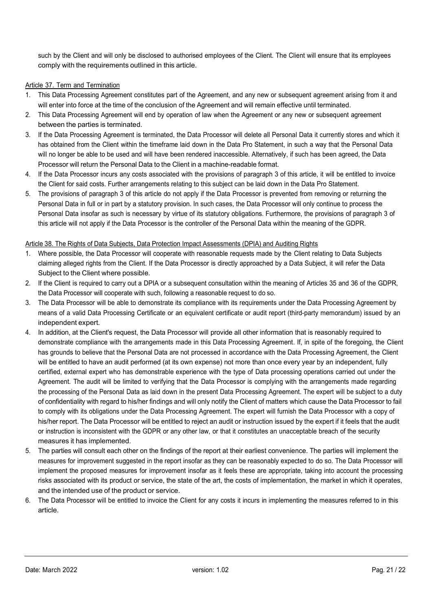such by the Client and will only be disclosed to authorised employees of the Client. The Client will ensure that its employees comply with the requirements outlined in this article.

## Article 37. Term and Termination

- 1. This Data Processing Agreement constitutes part of the Agreement, and any new or subsequent agreement arising from it and will enter into force at the time of the conclusion of the Agreement and will remain effective until terminated.
- 2. This Data Processing Agreement will end by operation of law when the Agreement or any new or subsequent agreement between the parties is terminated.
- 3. If the Data Processing Agreement is terminated, the Data Processor will delete all Personal Data it currently stores and which it has obtained from the Client within the timeframe laid down in the Data Pro Statement, in such a way that the Personal Data will no longer be able to be used and will have been rendered inaccessible. Alternatively, if such has been agreed, the Data Processor will return the Personal Data to the Client in a machine-readable format.
- 4. If the Data Processor incurs any costs associated with the provisions of paragraph 3 of this article, it will be entitled to invoice the Client for said costs. Further arrangements relating to this subject can be laid down in the Data Pro Statement.
- 5. The provisions of paragraph 3 of this article do not apply if the Data Processor is prevented from removing or returning the Personal Data in full or in part by a statutory provision. In such cases, the Data Processor will only continue to process the Personal Data insofar as such is necessary by virtue of its statutory obligations. Furthermore, the provisions of paragraph 3 of this article will not apply if the Data Processor is the controller of the Personal Data within the meaning of the GDPR.

## Article 38. The Rights of Data Subjects, Data Protection Impact Assessments (DPIA) and Auditing Rights

- 1. Where possible, the Data Processor will cooperate with reasonable requests made by the Client relating to Data Subjects claiming alleged rights from the Client. If the Data Processor is directly approached by a Data Subject, it will refer the Data Subject to the Client where possible.
- 2. If the Client is required to carry out a DPIA or a subsequent consultation within the meaning of Articles 35 and 36 of the GDPR, the Data Processor will cooperate with such, following a reasonable request to do so.
- 3. The Data Processor will be able to demonstrate its compliance with its requirements under the Data Processing Agreement by means of a valid Data Processing Certificate or an equivalent certificate or audit report (third-party memorandum) issued by an independent expert.
- 4. In addition, at the Client's request, the Data Processor will provide all other information that is reasonably required to demonstrate compliance with the arrangements made in this Data Processing Agreement. If, in spite of the foregoing, the Client has grounds to believe that the Personal Data are not processed in accordance with the Data Processing Agreement, the Client will be entitled to have an audit performed (at its own expense) not more than once every year by an independent, fully certified, external expert who has demonstrable experience with the type of Data processing operations carried out under the Agreement. The audit will be limited to verifying that the Data Processor is complying with the arrangements made regarding the processing of the Personal Data as laid down in the present Data Processing Agreement. The expert will be subject to a duty of confidentiality with regard to his/her findings and will only notify the Client of matters which cause the Data Processor to fail to comply with its obligations under the Data Processing Agreement. The expert will furnish the Data Processor with a copy of his/her report. The Data Processor will be entitled to reject an audit or instruction issued by the expert if it feels that the audit or instruction is inconsistent with the GDPR or any other law, or that it constitutes an unacceptable breach of the security measures it has implemented.
- 5. The parties will consult each other on the findings of the report at their earliest convenience. The parties will implement the measures for improvement suggested in the report insofar as they can be reasonably expected to do so. The Data Processor will implement the proposed measures for improvement insofar as it feels these are appropriate, taking into account the processing risks associated with its product or service, the state of the art, the costs of implementation, the market in which it operates, and the intended use of the product or service.
- 6. The Data Processor will be entitled to invoice the Client for any costs it incurs in implementing the measures referred to in this article.